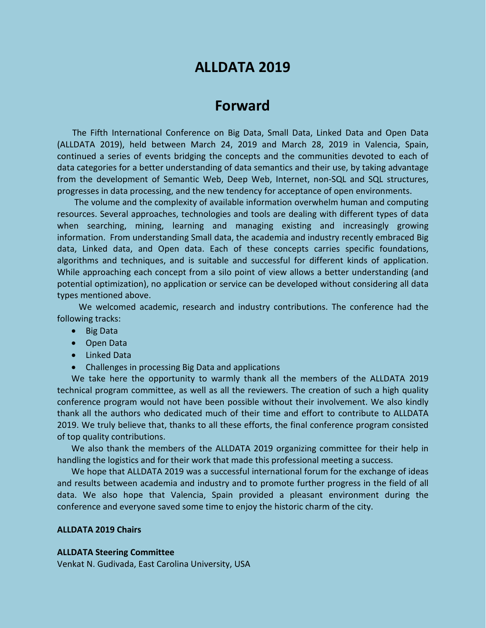# **ALLDATA 2019**

## **Forward**

The Fifth International Conference on Big Data, Small Data, Linked Data and Open Data (ALLDATA 2019), held between March 24, 2019 and March 28, 2019 in Valencia, Spain, continued a series of events bridging the concepts and the communities devoted to each of data categories for a better understanding of data semantics and their use, by taking advantage from the development of Semantic Web, Deep Web, Internet, non-SQL and SQL structures, progresses in data processing, and the new tendency for acceptance of open environments.

The volume and the complexity of available information overwhelm human and computing resources. Several approaches, technologies and tools are dealing with different types of data when searching, mining, learning and managing existing and increasingly growing information. From understanding Small data, the academia and industry recently embraced Big data, Linked data, and Open data. Each of these concepts carries specific foundations, algorithms and techniques, and is suitable and successful for different kinds of application. While approaching each concept from a silo point of view allows a better understanding (and potential optimization), no application or service can be developed without considering all data types mentioned above.

We welcomed academic, research and industry contributions. The conference had the following tracks:

- Big Data
- Open Data
- Linked Data
- Challenges in processing Big Data and applications

We take here the opportunity to warmly thank all the members of the ALLDATA 2019 technical program committee, as well as all the reviewers. The creation of such a high quality conference program would not have been possible without their involvement. We also kindly thank all the authors who dedicated much of their time and effort to contribute to ALLDATA 2019. We truly believe that, thanks to all these efforts, the final conference program consisted of top quality contributions.

We also thank the members of the ALLDATA 2019 organizing committee for their help in handling the logistics and for their work that made this professional meeting a success.

We hope that ALLDATA 2019 was a successful international forum for the exchange of ideas and results between academia and industry and to promote further progress in the field of all data. We also hope that Valencia, Spain provided a pleasant environment during the conference and everyone saved some time to enjoy the historic charm of the city.

### **ALLDATA 2019 Chairs**

#### **ALLDATA Steering Committee**

Venkat N. Gudivada, East Carolina University, USA